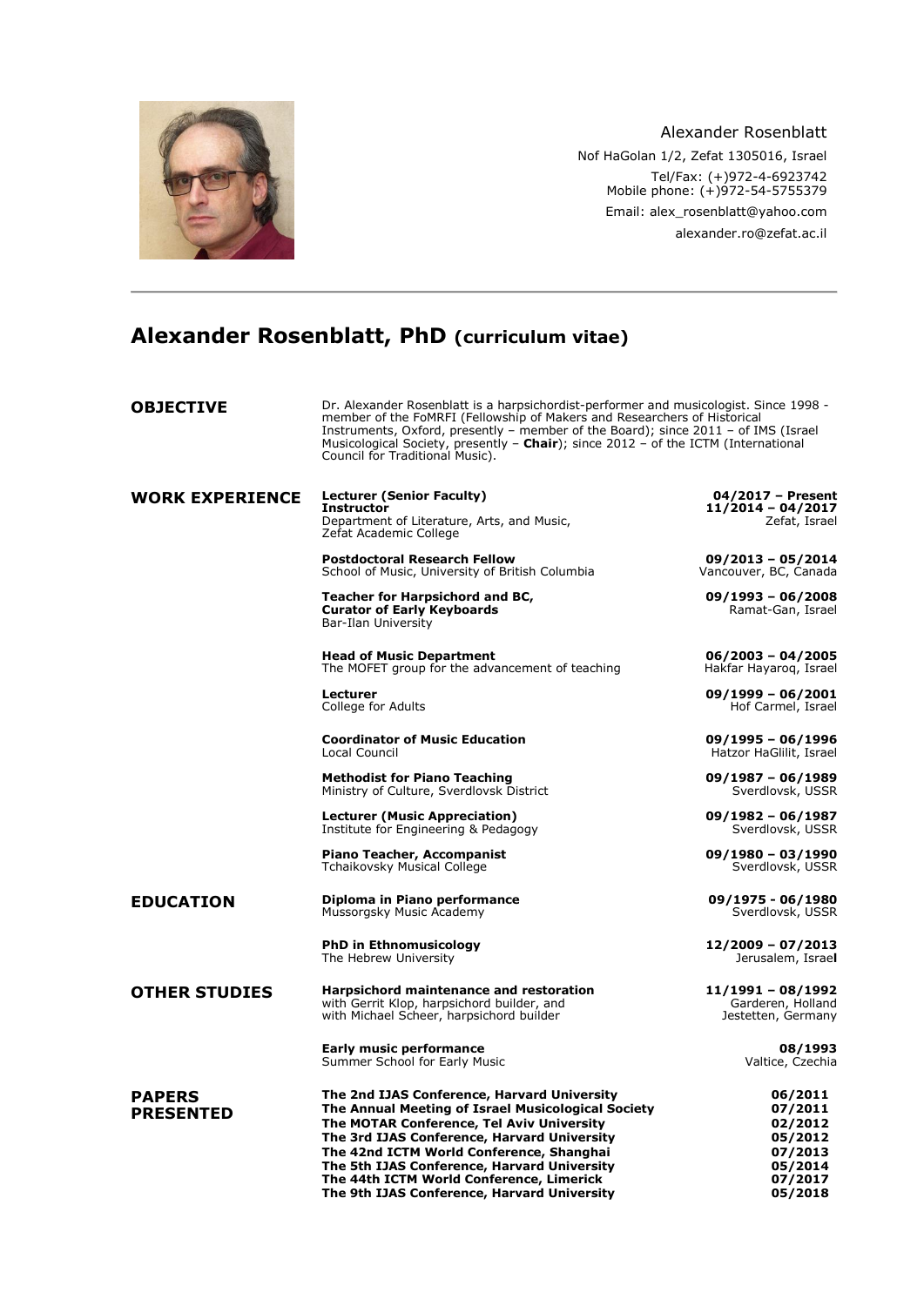

Alexander Rosenblatt Nof HaGolan 1/2, Zefat 1305016, Israel Tel/Fax: (+)972-4-6923742 Mobile phone: (+)972-54-5755379 Email: [alex\\_rosenblatt@yahoo.com](mailto:alex_rosenblatt@yahoo.com) alexander.ro@zefat.ac.il

# **Alexander Rosenblatt, PhD (curriculum vitae)**

| <b>OBJECTIVE</b>                  | Dr. Alexander Rosenblatt is a harpsichordist-performer and musicologist. Since 1998 -<br>member of the FoMRFI (Fellowship of Makers and Researchers of Historical<br>Instruments, Oxford, presently – member of the Board); since 2011 – of IMS (Israel<br>Musicological Society, presently - Chair); since 2012 - of the ICTM (International<br>Council for Traditional Music).    |                                                                                      |
|-----------------------------------|-------------------------------------------------------------------------------------------------------------------------------------------------------------------------------------------------------------------------------------------------------------------------------------------------------------------------------------------------------------------------------------|--------------------------------------------------------------------------------------|
| <b>WORK EXPERIENCE</b>            | <b>Lecturer (Senior Faculty)</b><br><b>Instructor</b><br>Department of Literature, Arts, and Music,<br>Zefat Academic College                                                                                                                                                                                                                                                       | 04/2017 - Present<br>$11/2014 - 04/2017$<br>Zefat, Israel                            |
|                                   | <b>Postdoctoral Research Fellow</b><br>School of Music, University of British Columbia                                                                                                                                                                                                                                                                                              | $09/2013 - 05/2014$<br>Vancouver, BC, Canada                                         |
|                                   | <b>Teacher for Harpsichord and BC,</b><br><b>Curator of Early Keyboards</b><br>Bar-Ilan University                                                                                                                                                                                                                                                                                  | $09/1993 - 06/2008$<br>Ramat-Gan, Israel                                             |
|                                   | <b>Head of Music Department</b><br>The MOFET group for the advancement of teaching                                                                                                                                                                                                                                                                                                  | $06/2003 - 04/2005$<br>Hakfar Hayarog, Israel                                        |
|                                   | <b>Lecturer</b><br>College for Adults                                                                                                                                                                                                                                                                                                                                               | $09/1999 - 06/2001$<br>Hof Carmel, Israel                                            |
|                                   | <b>Coordinator of Music Education</b><br>Local Council                                                                                                                                                                                                                                                                                                                              | 09/1995 - 06/1996<br>Hatzor HaGlilit, Israel                                         |
|                                   | <b>Methodist for Piano Teaching</b><br>Ministry of Culture, Sverdlovsk District                                                                                                                                                                                                                                                                                                     | $09/1987 - 06/1989$<br>Sverdlovsk, USSR                                              |
|                                   | <b>Lecturer (Music Appreciation)</b><br>Institute for Engineering & Pedagogy                                                                                                                                                                                                                                                                                                        | $09/1982 - 06/1987$<br>Sverdlovsk, USSR                                              |
|                                   | <b>Piano Teacher, Accompanist</b><br>Tchaikovsky Musical College                                                                                                                                                                                                                                                                                                                    | $09/1980 - 03/1990$<br>Sverdlovsk, USSR                                              |
| <b>EDUCATION</b>                  | Diploma in Piano performance<br>Mussorgsky Music Academy                                                                                                                                                                                                                                                                                                                            | 09/1975 - 06/1980<br>Sverdlovsk, USSR                                                |
|                                   | <b>PhD in Ethnomusicology</b><br>The Hebrew University                                                                                                                                                                                                                                                                                                                              | $12/2009 - 07/2013$<br>Jerusalem, Israel                                             |
| <b>OTHER STUDIES</b>              | Harpsichord maintenance and restoration<br>with Gerrit Klop, harpsichord builder, and<br>with Michael Scheer, harpsichord builder                                                                                                                                                                                                                                                   | $11/1991 - 08/1992$<br>Garderen, Holland<br>Jestetten, Germany                       |
|                                   | <b>Early music performance</b><br>Summer School for Early Music                                                                                                                                                                                                                                                                                                                     | 08/1993<br>Valtice, Czechia                                                          |
| <b>PAPERS</b><br><b>PRESENTED</b> | The 2nd IJAS Conference, Harvard University<br>The Annual Meeting of Israel Musicological Society<br>The MOTAR Conference, Tel Aviv University<br>The 3rd IJAS Conference, Harvard University<br>The 42nd ICTM World Conference, Shanghai<br>The 5th IJAS Conference, Harvard University<br>The 44th ICTM World Conference, Limerick<br>The 9th IJAS Conference, Harvard University | 06/2011<br>07/2011<br>02/2012<br>05/2012<br>07/2013<br>05/2014<br>07/2017<br>05/2018 |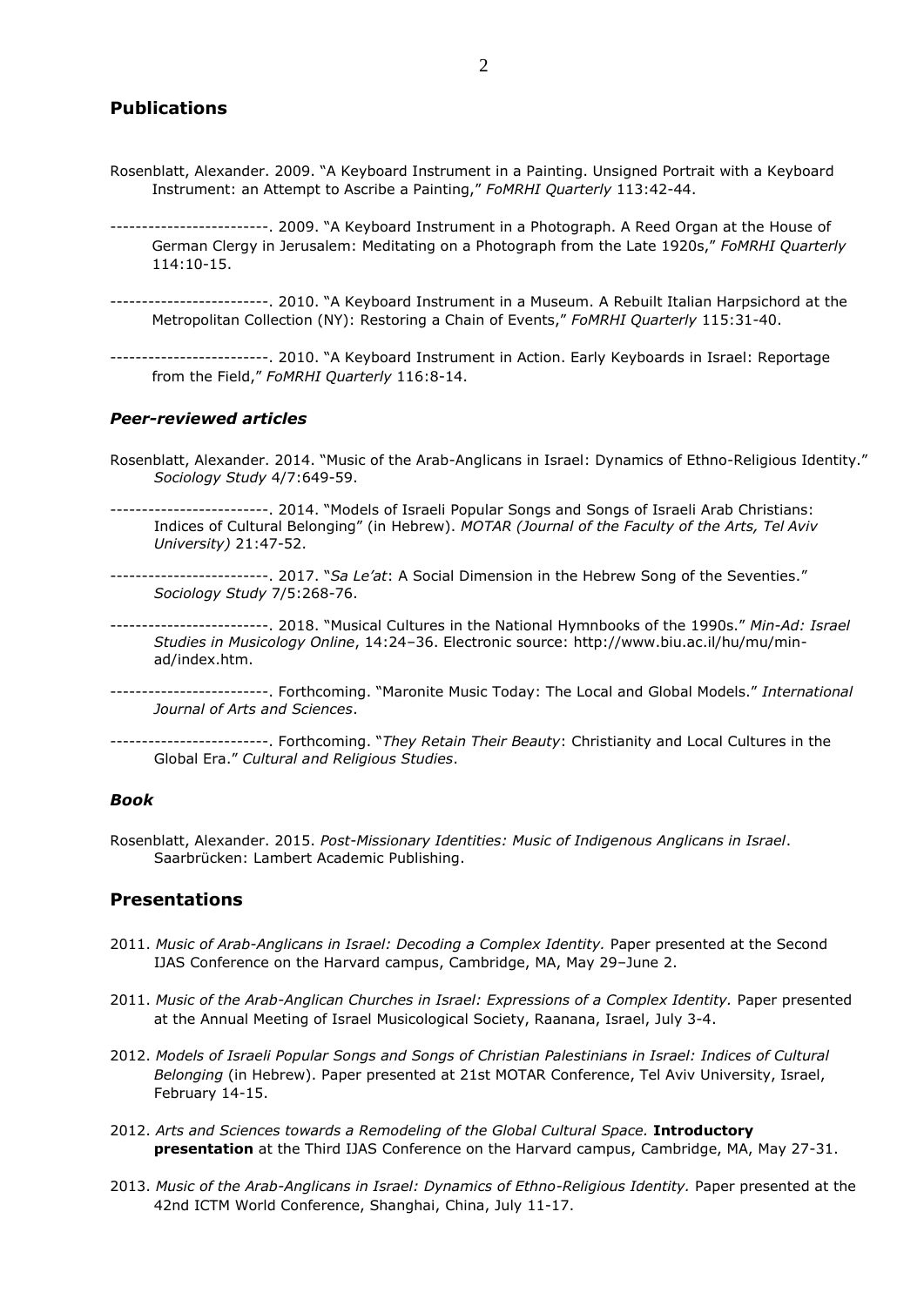### **Publications**

- Rosenblatt, Alexander. 2009. "A Keyboard Instrument in a Painting. Unsigned Portrait with a Keyboard Instrument: an Attempt to Ascribe a Painting," *FoMRHI Quarterly* 113:42-44.
- -------------------------. 2009. "A Keyboard Instrument in a Photograph. A Reed Organ at the House of German Clergy in Jerusalem: Meditating on a Photograph from the Late 1920s," *FoMRHI Quarterly* 114:10-15.
- -------------------------. 2010. "A Keyboard Instrument in a Museum. A Rebuilt Italian Harpsichord at the Metropolitan Collection (NY): Restoring a Chain of Events," *FoMRHI Quarterly* 115:31-40.
- -------------------------. 2010. "A Keyboard Instrument in Action. Early Keyboards in Israel: Reportage from the Field," *FoMRHI Quarterly* 116:8-14.

#### *Peer-reviewed articles*

Rosenblatt, Alexander. 2014. "Music of the Arab-Anglicans in Israel: Dynamics of Ethno-Religious Identity." *Sociology Study* 4/7:649-59.

-------------------------. 2014. "Models of Israeli Popular Songs and Songs of Israeli Arab Christians: Indices of Cultural Belonging" (in Hebrew). *MOTAR (Journal of the Faculty of the Arts, Tel Aviv University)* 21:47-52.

-------------------------. 2017. "*Sa Le'at*: A Social Dimension in the Hebrew Song of the Seventies." *Sociology Study* 7/5:268-76.

-------------------------. 2018. "Musical Cultures in the National Hymnbooks of the 1990s." *Min-Ad: Israel Studies in Musicology Online*, 14:24–36. Electronic source: http://www.biu.ac.il/hu/mu/minad/index.htm.

-------------------------. Forthcoming. "Maronite Music Today: The Local and Global Models." *International Journal of Arts and Sciences*.

-------------------------. Forthcoming. "*They Retain Their Beauty*: Christianity and Local Cultures in the Global Era." *Cultural and Religious Studies*.

#### *Book*

Rosenblatt, Alexander. 2015. *Post-Missionary Identities: Music of Indigenous Anglicans in Israel*. Saarbrücken: Lambert Academic Publishing.

#### **Presentations**

- 2011. *Music of Arab-Anglicans in Israel: Decoding a Complex Identity.* Paper presented at the Second IJAS Conference on the Harvard campus, Cambridge, MA, May 29–June 2.
- 2011. *Music of the Arab-Anglican Churches in Israel: Expressions of a Complex Identity.* Paper presented at the Annual Meeting of Israel Musicological Society, Raanana, Israel, July 3-4.
- 2012. *Models of Israeli Popular Songs and Songs of Christian Palestinians in Israel: Indices of Cultural Belonging* (in Hebrew). Paper presented at 21st MOTAR Conference, Tel Aviv University, Israel, February 14-15.
- 2012. *Arts and Sciences towards a Remodeling of the Global Cultural Space.* **Introductory presentation** at the Third IJAS Conference on the Harvard campus, Cambridge, MA, May 27-31.
- 2013. *Music of the Arab-Anglicans in Israel: Dynamics of Ethno-Religious Identity.* Paper presented at the 42nd ICTM World Conference, Shanghai, China, July 11-17.